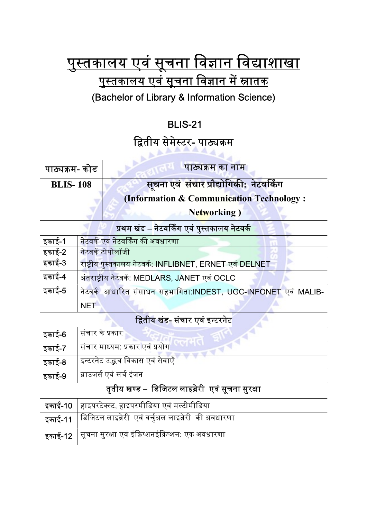## <u>पुस्तकालय एवं सूचना विज्ञान विद्याशाखा</u> <u>पुस्तकालय एवं सूचना विज्ञान में स्नातक</u> (Bachelor of Library & Information Science)

## BLIS-21

## द्वितीय सेमेस्टर- पाठ्यक्रम

 $AA$ 

| पाठ्यक्रम- कोड                                    |                                                               | पाठ्यक्रम का नाम                         |
|---------------------------------------------------|---------------------------------------------------------------|------------------------------------------|
| <b>BLIS-108</b>                                   |                                                               | सूचना एवं संचार प्रौद्योगिकी: नेटवर्किंग |
|                                                   |                                                               | (Information & Communication Technology: |
|                                                   |                                                               | <b>Networking</b> )                      |
| प्रथम खंड – नेटवर्किंग एवं पुस्तकालय नेटवर्क      |                                                               |                                          |
| इकाई-1                                            | नेटवर्क एवं नेटवर्किंग की अवधारणा                             |                                          |
| इकाई-2                                            | नेटवर्क टोपोलॉजी                                              |                                          |
| इकाई-3                                            | राष्ट्रीय पुस्तकालय नेटवर्क: INFLIBNET, ERNET एवं DELNET      |                                          |
| इकाई-4                                            | अंतराष्ट्रीय नेटवर्क: MEDLARS, JANET एवं OCLC                 |                                          |
| इकाई-5                                            | नेटवर्क आधारित संसाधन सहभागिता:INDEST, UGC-INFONET एवं MALIB- |                                          |
|                                                   | <b>NET</b>                                                    |                                          |
| द्वितीय खंड- संचार एवं इन्टरनेट                   |                                                               |                                          |
| इकाई-6                                            | संचार के प्रकार <sup>।</sup>                                  |                                          |
| इकाई-7                                            | संचार माध्यम: प्रकार <mark>एवं प्रयोग</mark>                  |                                          |
| इकाई-8                                            | इन्टरनेट उद्भव विकास एवं सेवाएँ                               |                                          |
| इकाई-9                                            | ब्राउजर्स एवं सर्च इंजन                                       |                                          |
| तृतीय खण्ड –  डिजिटल लाइब्रेरी  एवं सूचना सुरक्षा |                                                               |                                          |
| इकाई-10                                           | हाइपरटेक्स्ट, हाइपरमीडिया एवं मल्टीमीडिया                     |                                          |
| इकाई-11                                           | डिजिटल लाइब्रेरी  एवं वर्चुअल लाइब्रेरी  की अवधारणा           |                                          |
| इकाई-12                                           | सूचना सुरक्षा एवं इंक्रिप्शनइंक्रिप्शन: एक अवधारणा            |                                          |